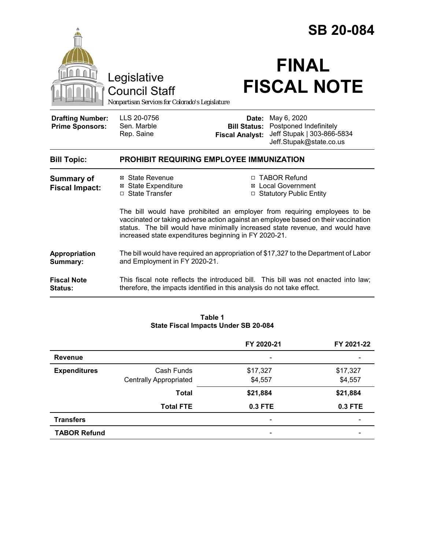|                                                   |                                                                                                                                                                                                                                                                                                           | <b>SB 20-084</b>                                                                             |                                                       |  |  |
|---------------------------------------------------|-----------------------------------------------------------------------------------------------------------------------------------------------------------------------------------------------------------------------------------------------------------------------------------------------------------|----------------------------------------------------------------------------------------------|-------------------------------------------------------|--|--|
|                                                   | Legislative<br><b>Council Staff</b><br>Nonpartisan Services for Colorado's Legislature                                                                                                                                                                                                                    |                                                                                              | <b>FINAL</b><br><b>FISCAL NOTE</b>                    |  |  |
| <b>Drafting Number:</b><br><b>Prime Sponsors:</b> | LLS 20-0756<br>Sen. Marble<br>Rep. Saine                                                                                                                                                                                                                                                                  | May 6, 2020<br>Date:<br><b>Bill Status:</b> Postponed Indefinitely<br><b>Fiscal Analyst:</b> | Jeff Stupak   303-866-5834<br>Jeff.Stupak@state.co.us |  |  |
| <b>Bill Topic:</b>                                | <b>PROHIBIT REQUIRING EMPLOYEE IMMUNIZATION</b>                                                                                                                                                                                                                                                           |                                                                                              |                                                       |  |  |
| <b>Summary of</b><br><b>Fiscal Impact:</b>        | ⊠ State Revenue<br><b>⊠</b> State Expenditure<br>□ State Transfer                                                                                                                                                                                                                                         | <b>TABOR Refund</b><br>Local Government<br>□ Statutory Public Entity                         |                                                       |  |  |
|                                                   | The bill would have prohibited an employer from requiring employees to be<br>vaccinated or taking adverse action against an employee based on their vaccination<br>status. The bill would have minimally increased state revenue, and would have<br>increased state expenditures beginning in FY 2020-21. |                                                                                              |                                                       |  |  |
| Appropriation<br>Summary:                         | The bill would have required an appropriation of \$17,327 to the Department of Labor<br>and Employment in FY 2020-21.                                                                                                                                                                                     |                                                                                              |                                                       |  |  |
| <b>Fiscal Note</b><br><b>Status:</b>              | This fiscal note reflects the introduced bill. This bill was not enacted into law;<br>therefore, the impacts identified in this analysis do not take effect.                                                                                                                                              |                                                                                              |                                                       |  |  |

| Table 1                              |  |  |  |  |
|--------------------------------------|--|--|--|--|
| State Fiscal Impacts Under SB 20-084 |  |  |  |  |

|                     |                               | FY 2020-21                   | FY 2021-22 |
|---------------------|-------------------------------|------------------------------|------------|
| <b>Revenue</b>      |                               | $\qquad \qquad \blacksquare$ |            |
| <b>Expenditures</b> | Cash Funds                    | \$17,327                     | \$17,327   |
|                     | <b>Centrally Appropriated</b> | \$4,557                      | \$4,557    |
|                     | <b>Total</b>                  | \$21,884                     | \$21,884   |
|                     | <b>Total FTE</b>              | 0.3 FTE                      | 0.3 FTE    |
| <b>Transfers</b>    |                               | $\qquad \qquad \blacksquare$ |            |
| <b>TABOR Refund</b> |                               | $\overline{\phantom{a}}$     |            |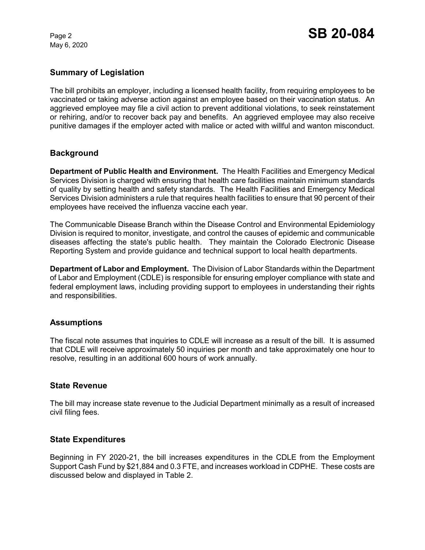May 6, 2020

# **Summary of Legislation**

The bill prohibits an employer, including a licensed health facility, from requiring employees to be vaccinated or taking adverse action against an employee based on their vaccination status. An aggrieved employee may file a civil action to prevent additional violations, to seek reinstatement or rehiring, and/or to recover back pay and benefits. An aggrieved employee may also receive punitive damages if the employer acted with malice or acted with willful and wanton misconduct.

## **Background**

**Department of Public Health and Environment.** The Health Facilities and Emergency Medical Services Division is charged with ensuring that health care facilities maintain minimum standards of quality by setting health and safety standards. The Health Facilities and Emergency Medical Services Division administers a rule that requires health facilities to ensure that 90 percent of their employees have received the influenza vaccine each year.

The Communicable Disease Branch within the Disease Control and Environmental Epidemiology Division is required to monitor, investigate, and control the causes of epidemic and communicable diseases affecting the state's public health. They maintain the Colorado Electronic Disease Reporting System and provide guidance and technical support to local health departments.

**Department of Labor and Employment.** The Division of Labor Standards within the Department of Labor and Employment (CDLE) is responsible for ensuring employer compliance with state and federal employment laws, including providing support to employees in understanding their rights and responsibilities.

#### **Assumptions**

The fiscal note assumes that inquiries to CDLE will increase as a result of the bill. It is assumed that CDLE will receive approximately 50 inquiries per month and take approximately one hour to resolve, resulting in an additional 600 hours of work annually.

#### **State Revenue**

The bill may increase state revenue to the Judicial Department minimally as a result of increased civil filing fees.

#### **State Expenditures**

Beginning in FY 2020-21, the bill increases expenditures in the CDLE from the Employment Support Cash Fund by \$21,884 and 0.3 FTE, and increases workload in CDPHE. These costs are discussed below and displayed in Table 2.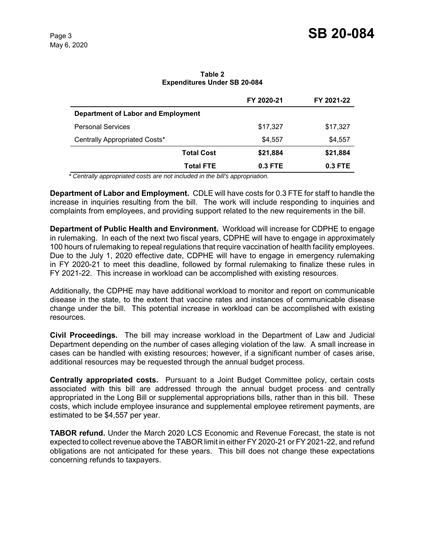**Table 2 Expenditures Under SB 20-084**

|                                    |                   | FY 2020-21 | FY 2021-22 |
|------------------------------------|-------------------|------------|------------|
| Department of Labor and Employment |                   |            |            |
| <b>Personal Services</b>           |                   | \$17,327   | \$17,327   |
| Centrally Appropriated Costs*      |                   | \$4,557    | \$4,557    |
|                                    | <b>Total Cost</b> | \$21,884   | \$21,884   |
|                                    | <b>Total FTE</b>  | $0.3$ FTE  | $0.3$ FTE  |

 *\* Centrally appropriated costs are not included in the bill's appropriation.*

**Department of Labor and Employment.** CDLE will have costs for 0.3 FTE for staff to handle the increase in inquiries resulting from the bill. The work will include responding to inquiries and complaints from employees, and providing support related to the new requirements in the bill.

**Department of Public Health and Environment.** Workload will increase for CDPHE to engage in rulemaking. In each of the next two fiscal years, CDPHE will have to engage in approximately 100 hours of rulemaking to repeal regulations that require vaccination of health facility employees. Due to the July 1, 2020 effective date, CDPHE will have to engage in emergency rulemaking in FY 2020-21 to meet this deadline, followed by formal rulemaking to finalize these rules in FY 2021-22. This increase in workload can be accomplished with existing resources.

Additionally, the CDPHE may have additional workload to monitor and report on communicable disease in the state, to the extent that vaccine rates and instances of communicable disease change under the bill. This potential increase in workload can be accomplished with existing resources.

**Civil Proceedings.** The bill may increase workload in the Department of Law and Judicial Department depending on the number of cases alleging violation of the law. A small increase in cases can be handled with existing resources; however, if a significant number of cases arise, additional resources may be requested through the annual budget process.

**Centrally appropriated costs.** Pursuant to a Joint Budget Committee policy, certain costs associated with this bill are addressed through the annual budget process and centrally appropriated in the Long Bill or supplemental appropriations bills, rather than in this bill. These costs, which include employee insurance and supplemental employee retirement payments, are estimated to be \$4,557 per year.

**TABOR refund.** Under the March 2020 LCS Economic and Revenue Forecast, the state is not expected to collect revenue above the TABOR limit in either FY 2020-21 or FY 2021-22, and refund obligations are not anticipated for these years. This bill does not change these expectations concerning refunds to taxpayers.